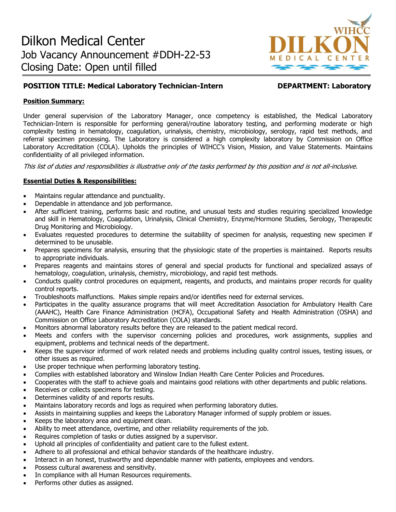

# **POSITION TITLE: Medical Laboratory Technician-Intern DEPARTMENT: Laboratory**

### **Position Summary:**

Under general supervision of the Laboratory Manager, once competency is established, the Medical Laboratory Technician-Intern is responsible for performing general/routine laboratory testing, and performing moderate or high complexity testing in hematology, coagulation, urinalysis, chemistry, microbiology, serology, rapid test methods, and referral specimen processing. The Laboratory is considered a high complexity laboratory by Commission on Office Laboratory Accreditation (COLA). Upholds the principles of WIHCC's Vision, Mission, and Value Statements. Maintains confidentiality of all privileged information.

This list of duties and responsibilities is illustrative only of the tasks performed by this position and is not all-inclusive.

# **Essential Duties & Responsibilities:**

- Maintains regular attendance and punctuality.
- Dependable in attendance and job performance.
- After sufficient training, performs basic and routine, and unusual tests and studies requiring specialized knowledge and skill in Hematology, Coagulation, Urinalysis, Clinical Chemistry, Enzyme/Hormone Studies, Serology, Therapeutic Drug Monitoring and Microbiology.
- Evaluates requested procedures to determine the suitability of specimen for analysis, requesting new specimen if determined to be unusable.
- Prepares specimens for analysis, ensuring that the physiologic state of the properties is maintained. Reports results to appropriate individuals.
- Prepares reagents and maintains stores of general and special products for functional and specialized assays of hematology, coagulation, urinalysis, chemistry, microbiology, and rapid test methods.
- Conducts quality control procedures on equipment, reagents, and products, and maintains proper records for quality control reports.
- Troubleshoots malfunctions. Makes simple repairs and/or identifies need for external services.
- Participates in the quality assurance programs that will meet Accreditation Association for Ambulatory Health Care (AAAHC), Health Care Finance Administration (HCFA), Occupational Safety and Health Administration (OSHA) and Commission on Office Laboratory Accreditation (COLA) standards.
- Monitors abnormal laboratory results before they are released to the patient medical record.
- Meets and confers with the supervisor concerning policies and procedures, work assignments, supplies and equipment, problems and technical needs of the department.
- Keeps the supervisor informed of work related needs and problems including quality control issues, testing issues, or other issues as required.
- Use proper technique when performing laboratory testing.
- Complies with established laboratory and Winslow Indian Health Care Center Policies and Procedures.
- Cooperates with the staff to achieve goals and maintains good relations with other departments and public relations.
- Receives or collects specimens for testing.
- Determines validity of and reports results.
- Maintains laboratory records and logs as required when performing laboratory duties.
- Assists in maintaining supplies and keeps the Laboratory Manager informed of supply problem or issues.
- Keeps the laboratory area and equipment clean.
- Ability to meet attendance, overtime, and other reliability requirements of the job.
- Requires completion of tasks or duties assigned by a supervisor.
- Uphold all principles of confidentiality and patient care to the fullest extent.
- Adhere to all professional and ethical behavior standards of the healthcare industry.
- Interact in an honest, trustworthy and dependable manner with patients, employees and vendors.
- Possess cultural awareness and sensitivity.
- In compliance with all Human Resources requirements.
- Performs other duties as assigned.